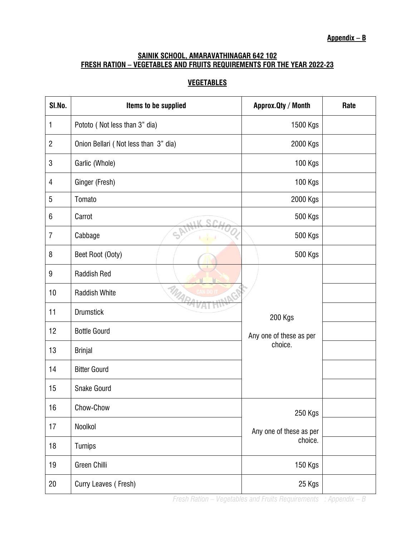## **SAINIK SCHOOL, AMARAVATHINAGAR 642 102 FRESH RATION – VEGETABLES AND FRUITS REQUIREMENTS FOR THE YEAR 2022-23**

## **VEGETABLES**

| SI.No.         | Items to be supplied                   | Approx. Qty / Month                           | Rate |
|----------------|----------------------------------------|-----------------------------------------------|------|
| 1              | Pototo (Not less than 3" dia)          | 1500 Kgs                                      |      |
| $\overline{2}$ | Onion Bellari (Not less than 3" dia)   | 2000 Kgs                                      |      |
| 3              | Garlic (Whole)                         | 100 Kgs                                       |      |
| 4              | Ginger (Fresh)                         | 100 Kgs                                       |      |
| 5              | Tomato                                 | 2000 Kgs                                      |      |
| 6              | Carrot                                 | 500 Kgs                                       |      |
| $\overline{I}$ | $\mathbb{C}_{\!\mathbb{C}}$<br>Cabbage | 500 Kgs                                       |      |
| 8              | Beet Root (Ooty)                       | 500 Kgs                                       |      |
| 9              | <b>Raddish Red</b>                     |                                               |      |
| 10             | MA<br><b>Raddish White</b>             |                                               |      |
| 11             | <b>Drumstick</b>                       | 200 Kgs<br>Any one of these as per<br>choice. |      |
| 12             | <b>Bottle Gourd</b>                    |                                               |      |
| 13             | <b>Brinjal</b>                         |                                               |      |
| 14             | <b>Bitter Gourd</b>                    |                                               |      |
| 15             | <b>Snake Gourd</b>                     |                                               |      |
| 16             | Chow-Chow                              | 250 Kgs                                       |      |
| 17             | Noolkol                                | Any one of these as per<br>choice.            |      |
| 18             | Turnips                                |                                               |      |
| 19             | <b>Green Chilli</b>                    | 150 Kgs                                       |      |
| 20             | Curry Leaves (Fresh)                   | 25 Kgs                                        |      |

*Fresh Ration – Vegetables and Fruits Requirements : Appendix – B*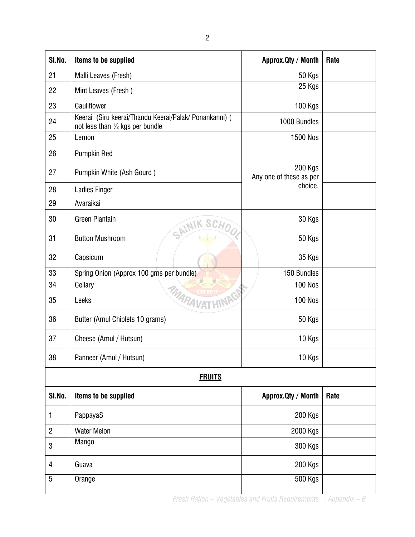| SI.No.         | Items to be supplied                                                                       | Approx. Qty / Month                | Rate |  |
|----------------|--------------------------------------------------------------------------------------------|------------------------------------|------|--|
| 21             | Malli Leaves (Fresh)                                                                       | 50 Kgs                             |      |  |
| 22             | Mint Leaves (Fresh)                                                                        | 25 Kgs                             |      |  |
| 23             | Cauliflower                                                                                | <b>100 Kgs</b>                     |      |  |
| 24             | Keerai (Siru keerai/Thandu Keerai/Palak/ Ponankanni) (<br>not less than 1/2 kgs per bundle | 1000 Bundles                       |      |  |
| 25             | Lemon                                                                                      | 1500 Nos                           |      |  |
| 26             | Pumpkin Red                                                                                |                                    |      |  |
| 27             | Pumpkin White (Ash Gourd)                                                                  | 200 Kgs<br>Any one of these as per |      |  |
| 28             | <b>Ladies Finger</b>                                                                       | choice.                            |      |  |
| 29             | Avaraikai                                                                                  |                                    |      |  |
| 30             | <b>Green Plantain</b>                                                                      | 30 Kgs                             |      |  |
| 31             | <b>Button Mushroom</b>                                                                     | 50 Kgs                             |      |  |
| 32             | Capsicum                                                                                   | 35 Kgs                             |      |  |
| 33             | Spring Onion (Approx 100 gms per bundle)                                                   | 150 Bundles                        |      |  |
| 34             | Cellary                                                                                    | <b>100 Nos</b>                     |      |  |
| 35             | <b>MARAVATHINA</b><br>Leeks                                                                | <b>100 Nos</b>                     |      |  |
| 36             | Butter (Amul Chiplets 10 grams)                                                            | 50 Kgs                             |      |  |
| 37             | Cheese (Amul / Hutsun)                                                                     | 10 Kgs                             |      |  |
| 38             | Panneer (Amul / Hutsun)                                                                    | 10 Kgs                             |      |  |
| <b>FRUITS</b>  |                                                                                            |                                    |      |  |
| SI.No.         | Items to be supplied                                                                       | Approx. Qty / Month                | Rate |  |
| 1              | PappayaS                                                                                   | 200 Kgs                            |      |  |
| $\overline{c}$ | <b>Water Melon</b>                                                                         | 2000 Kgs                           |      |  |
| 3              | Mango                                                                                      | 300 Kgs                            |      |  |
| 4              | Guava                                                                                      | 200 Kgs                            |      |  |
| 5              | Orange                                                                                     | 500 Kgs                            |      |  |

*Fresh Ration – Vegetables and Fruits Requirements : Appendix – B*